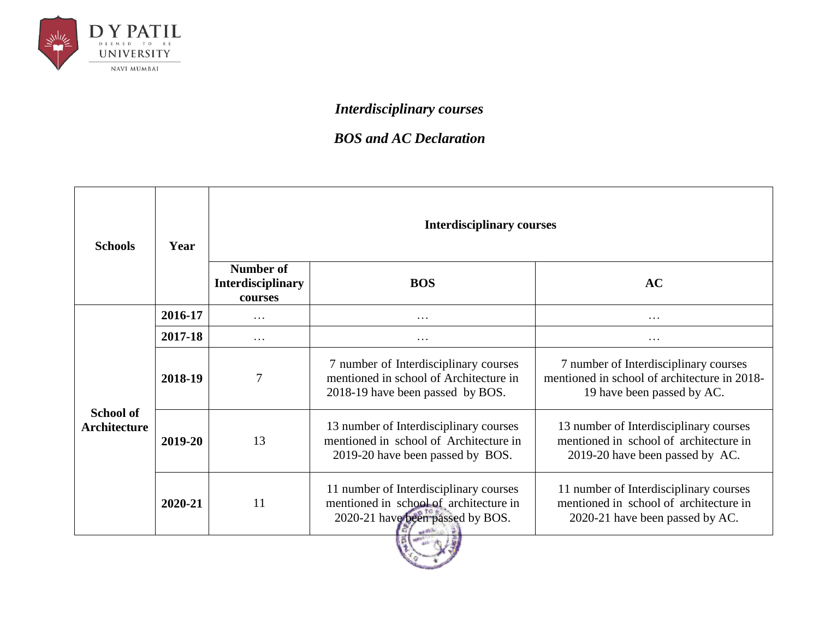

## *Interdisciplinary courses*

## *BOS and AC Declaration*

| <b>Schools</b>                          | Year    | <b>Interdisciplinary courses</b>                        |                                                                                                                      |                                                                                                                     |
|-----------------------------------------|---------|---------------------------------------------------------|----------------------------------------------------------------------------------------------------------------------|---------------------------------------------------------------------------------------------------------------------|
|                                         |         | <b>Number of</b><br><b>Interdisciplinary</b><br>courses | <b>BOS</b>                                                                                                           | AC                                                                                                                  |
|                                         | 2016-17 | $\cdots$                                                | $\cdots$                                                                                                             | $\cdots$                                                                                                            |
| <b>School of</b><br><b>Architecture</b> | 2017-18 | $\ddots$                                                | $\cdots$                                                                                                             | $\cdots$                                                                                                            |
|                                         | 2018-19 | $\overline{7}$                                          | 7 number of Interdisciplinary courses<br>mentioned in school of Architecture in<br>2018-19 have been passed by BOS.  | 7 number of Interdisciplinary courses<br>mentioned in school of architecture in 2018-<br>19 have been passed by AC. |
|                                         | 2019-20 | 13                                                      | 13 number of Interdisciplinary courses<br>mentioned in school of Architecture in<br>2019-20 have been passed by BOS. | 13 number of Interdisciplinary courses<br>mentioned in school of architecture in<br>2019-20 have been passed by AC. |
|                                         | 2020-21 | 11                                                      | 11 number of Interdisciplinary courses<br>mentioned in school of architecture in<br>2020-21 have been passed by BOS. | 11 number of Interdisciplinary courses<br>mentioned in school of architecture in<br>2020-21 have been passed by AC. |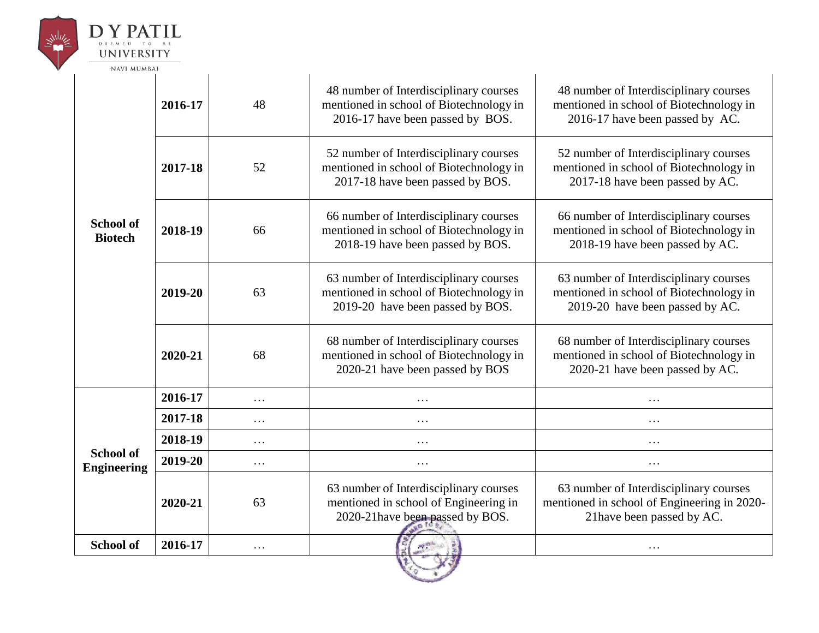

# $\underset{\mathbf{D}}{\mathbf{D}}\underset{\mathbf{E}}{\mathbf{Y}}\underset{\mathbf{E}}{\mathbf{P}}\underset{\mathbf{E}}{\mathbf{A}}\underset{\mathbf{E}}{\mathbf{E}}\underset{\mathbf{D}}{\mathbf{D}}\underset{\mathbf{E}}{\mathbf{E}}\underset{\mathbf{E}}{\mathbf{E}}\mathbf{I}}\underset{\mathbf{E}}{\mathbf{E}}\mathbf{L}$ **UNIVERSITY**

| <b>NAVI MUMBAI</b>                     |         |          |                                                                                                                       |                                                                                                                      |  |
|----------------------------------------|---------|----------|-----------------------------------------------------------------------------------------------------------------------|----------------------------------------------------------------------------------------------------------------------|--|
| <b>School of</b><br><b>Biotech</b>     | 2016-17 | 48       | 48 number of Interdisciplinary courses<br>mentioned in school of Biotechnology in<br>2016-17 have been passed by BOS. | 48 number of Interdisciplinary courses<br>mentioned in school of Biotechnology in<br>2016-17 have been passed by AC. |  |
|                                        | 2017-18 | 52       | 52 number of Interdisciplinary courses<br>mentioned in school of Biotechnology in<br>2017-18 have been passed by BOS. | 52 number of Interdisciplinary courses<br>mentioned in school of Biotechnology in<br>2017-18 have been passed by AC. |  |
|                                        | 2018-19 | 66       | 66 number of Interdisciplinary courses<br>mentioned in school of Biotechnology in<br>2018-19 have been passed by BOS. | 66 number of Interdisciplinary courses<br>mentioned in school of Biotechnology in<br>2018-19 have been passed by AC. |  |
|                                        | 2019-20 | 63       | 63 number of Interdisciplinary courses<br>mentioned in school of Biotechnology in<br>2019-20 have been passed by BOS. | 63 number of Interdisciplinary courses<br>mentioned in school of Biotechnology in<br>2019-20 have been passed by AC. |  |
|                                        | 2020-21 | 68       | 68 number of Interdisciplinary courses<br>mentioned in school of Biotechnology in<br>2020-21 have been passed by BOS  | 68 number of Interdisciplinary courses<br>mentioned in school of Biotechnology in<br>2020-21 have been passed by AC. |  |
| <b>School of</b><br><b>Engineering</b> | 2016-17 | $\cdots$ | .                                                                                                                     | $\cdots$                                                                                                             |  |
|                                        | 2017-18 | $\cdots$ | .                                                                                                                     | .                                                                                                                    |  |
|                                        | 2018-19 | $\cdots$ | $\cdots$                                                                                                              | $\cdots$                                                                                                             |  |
|                                        | 2019-20 | $\cdots$ | $\cdots$                                                                                                              | $\cdots$                                                                                                             |  |
|                                        | 2020-21 | 63       | 63 number of Interdisciplinary courses<br>mentioned in school of Engineering in<br>2020-21 have been passed by BOS.   | 63 number of Interdisciplinary courses<br>mentioned in school of Engineering in 2020-<br>21 have been passed by AC.  |  |
| <b>School of</b>                       | 2016-17 | $\cdots$ | <b>MERCH</b>                                                                                                          | $\cdots$                                                                                                             |  |

10 1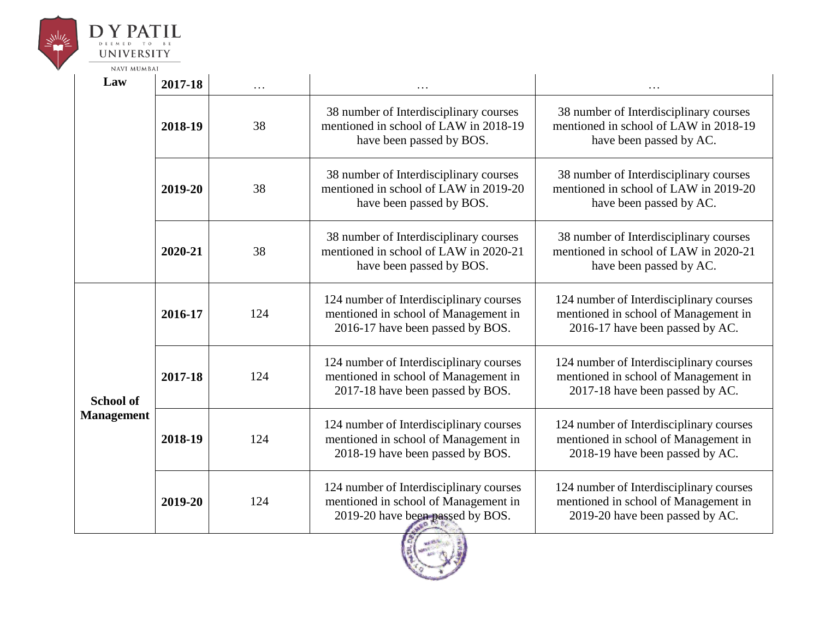



| <b>NAVI MUMBAI</b>                    |         |     |                                                                                                                     |                                                                                                                    |  |  |
|---------------------------------------|---------|-----|---------------------------------------------------------------------------------------------------------------------|--------------------------------------------------------------------------------------------------------------------|--|--|
| Law                                   | 2017-18 | .   |                                                                                                                     |                                                                                                                    |  |  |
|                                       | 2018-19 | 38  | 38 number of Interdisciplinary courses<br>mentioned in school of LAW in 2018-19<br>have been passed by BOS.         | 38 number of Interdisciplinary courses<br>mentioned in school of LAW in 2018-19<br>have been passed by AC.         |  |  |
|                                       | 2019-20 | 38  | 38 number of Interdisciplinary courses<br>mentioned in school of LAW in 2019-20<br>have been passed by BOS.         | 38 number of Interdisciplinary courses<br>mentioned in school of LAW in 2019-20<br>have been passed by AC.         |  |  |
|                                       | 2020-21 | 38  | 38 number of Interdisciplinary courses<br>mentioned in school of LAW in 2020-21<br>have been passed by BOS.         | 38 number of Interdisciplinary courses<br>mentioned in school of LAW in 2020-21<br>have been passed by AC.         |  |  |
| <b>School of</b><br><b>Management</b> | 2016-17 | 124 | 124 number of Interdisciplinary courses<br>mentioned in school of Management in<br>2016-17 have been passed by BOS. | 124 number of Interdisciplinary courses<br>mentioned in school of Management in<br>2016-17 have been passed by AC. |  |  |
|                                       | 2017-18 | 124 | 124 number of Interdisciplinary courses<br>mentioned in school of Management in<br>2017-18 have been passed by BOS. | 124 number of Interdisciplinary courses<br>mentioned in school of Management in<br>2017-18 have been passed by AC. |  |  |
|                                       | 2018-19 | 124 | 124 number of Interdisciplinary courses<br>mentioned in school of Management in<br>2018-19 have been passed by BOS. | 124 number of Interdisciplinary courses<br>mentioned in school of Management in<br>2018-19 have been passed by AC. |  |  |
|                                       | 2019-20 | 124 | 124 number of Interdisciplinary courses<br>mentioned in school of Management in<br>2019-20 have been passed by BOS. | 124 number of Interdisciplinary courses<br>mentioned in school of Management in<br>2019-20 have been passed by AC. |  |  |

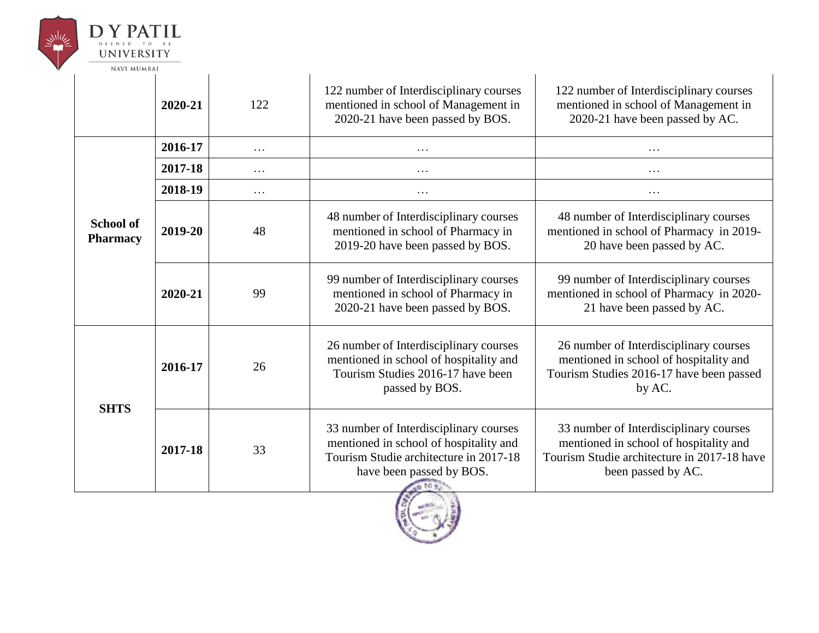

# $\begin{array}{c}\n\mathbf{D}\mathbf{Y}\mathbf{P}\mathbf{A}\mathbf{T}\mathbf{I}\mathbf{L} \\
\mathbf{U}\mathbf{N}\mathbf{I}\mathbf{V}\mathbf{E}\mathbf{R}\mathbf{S}\mathbf{I}\mathbf{T}\mathbf{Y}\n\end{array}$

| <b>NAVI MUMBAI</b>                  |         |          |                                                                                                                                                        |                                                                                                                                                       |
|-------------------------------------|---------|----------|--------------------------------------------------------------------------------------------------------------------------------------------------------|-------------------------------------------------------------------------------------------------------------------------------------------------------|
|                                     | 2020-21 | 122      | 122 number of Interdisciplinary courses<br>mentioned in school of Management in<br>2020-21 have been passed by BOS.                                    | 122 number of Interdisciplinary courses<br>mentioned in school of Management in<br>2020-21 have been passed by AC.                                    |
|                                     | 2016-17 | $\cdots$ | $\cdots$                                                                                                                                               | $\cdots$                                                                                                                                              |
|                                     | 2017-18 | $\cdots$ | $\cdots$                                                                                                                                               | .                                                                                                                                                     |
|                                     | 2018-19 | $\cdots$ | $\cdots$                                                                                                                                               | .                                                                                                                                                     |
| <b>School of</b><br><b>Pharmacy</b> | 2019-20 | 48       | 48 number of Interdisciplinary courses<br>mentioned in school of Pharmacy in<br>2019-20 have been passed by BOS.                                       | 48 number of Interdisciplinary courses<br>mentioned in school of Pharmacy in 2019-<br>20 have been passed by AC.                                      |
|                                     | 2020-21 | 99       | 99 number of Interdisciplinary courses<br>mentioned in school of Pharmacy in<br>2020-21 have been passed by BOS.                                       | 99 number of Interdisciplinary courses<br>mentioned in school of Pharmacy in 2020-<br>21 have been passed by AC.                                      |
| <b>SHTS</b>                         | 2016-17 | 26       | 26 number of Interdisciplinary courses<br>mentioned in school of hospitality and<br>Tourism Studies 2016-17 have been<br>passed by BOS.                | 26 number of Interdisciplinary courses<br>mentioned in school of hospitality and<br>Tourism Studies 2016-17 have been passed<br>by AC.                |
|                                     | 2017-18 | 33       | 33 number of Interdisciplinary courses<br>mentioned in school of hospitality and<br>Tourism Studie architecture in 2017-18<br>have been passed by BOS. | 33 number of Interdisciplinary courses<br>mentioned in school of hospitality and<br>Tourism Studie architecture in 2017-18 have<br>been passed by AC. |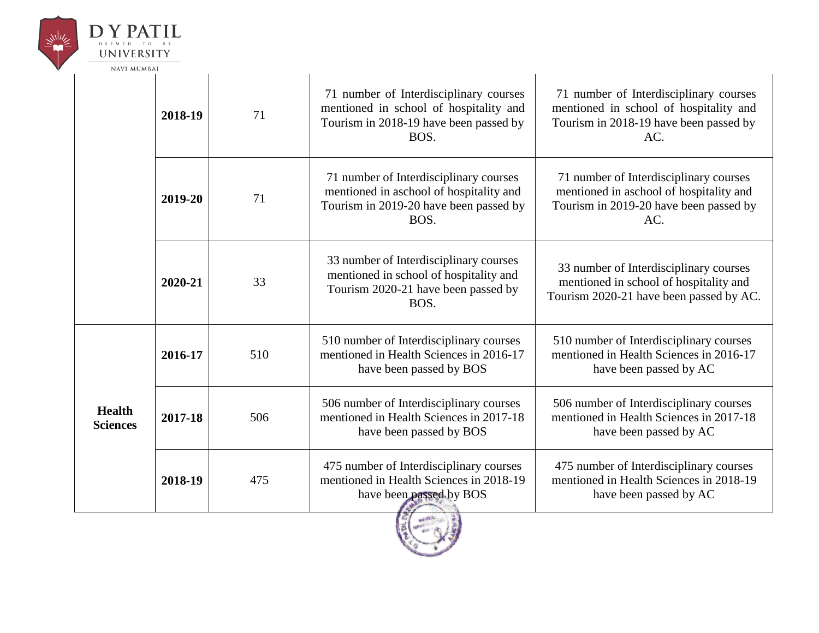

NAVI MUMBAI

|                                  | 2018-19 | 71  | 71 number of Interdisciplinary courses<br>mentioned in school of hospitality and<br>Tourism in 2018-19 have been passed by<br>BOS.  | 71 number of Interdisciplinary courses<br>mentioned in school of hospitality and<br>Tourism in 2018-19 have been passed by<br>AC.  |
|----------------------------------|---------|-----|-------------------------------------------------------------------------------------------------------------------------------------|------------------------------------------------------------------------------------------------------------------------------------|
|                                  | 2019-20 | 71  | 71 number of Interdisciplinary courses<br>mentioned in aschool of hospitality and<br>Tourism in 2019-20 have been passed by<br>BOS. | 71 number of Interdisciplinary courses<br>mentioned in aschool of hospitality and<br>Tourism in 2019-20 have been passed by<br>AC. |
|                                  | 2020-21 | 33  | 33 number of Interdisciplinary courses<br>mentioned in school of hospitality and<br>Tourism 2020-21 have been passed by<br>BOS.     | 33 number of Interdisciplinary courses<br>mentioned in school of hospitality and<br>Tourism 2020-21 have been passed by AC.        |
| <b>Health</b><br><b>Sciences</b> | 2016-17 | 510 | 510 number of Interdisciplinary courses<br>mentioned in Health Sciences in 2016-17<br>have been passed by BOS                       | 510 number of Interdisciplinary courses<br>mentioned in Health Sciences in 2016-17<br>have been passed by AC                       |
|                                  | 2017-18 | 506 | 506 number of Interdisciplinary courses<br>mentioned in Health Sciences in 2017-18<br>have been passed by BOS                       | 506 number of Interdisciplinary courses<br>mentioned in Health Sciences in 2017-18<br>have been passed by AC                       |
|                                  | 2018-19 | 475 | 475 number of Interdisciplinary courses<br>mentioned in Health Sciences in 2018-19<br>have been passed by BOS                       | 475 number of Interdisciplinary courses<br>mentioned in Health Sciences in 2018-19<br>have been passed by AC                       |